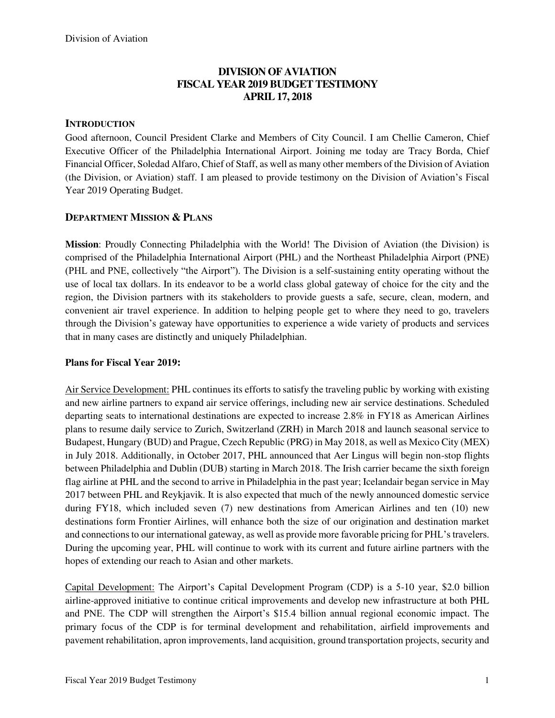## **DIVISION OF AVIATION FISCAL YEAR 2019 BUDGET TESTIMONY APRIL 17, 2018**

#### **INTRODUCTION**

Good afternoon, Council President Clarke and Members of City Council. I am Chellie Cameron, Chief Executive Officer of the Philadelphia International Airport. Joining me today are Tracy Borda, Chief Financial Officer, Soledad Alfaro, Chief of Staff, as well as many other members of the Division of Aviation (the Division, or Aviation) staff. I am pleased to provide testimony on the Division of Aviation's Fiscal Year 2019 Operating Budget.

#### **DEPARTMENT MISSION & PLANS**

**Mission**: Proudly Connecting Philadelphia with the World! The Division of Aviation (the Division) is comprised of the Philadelphia International Airport (PHL) and the Northeast Philadelphia Airport (PNE) (PHL and PNE, collectively "the Airport"). The Division is a self-sustaining entity operating without the use of local tax dollars. In its endeavor to be a world class global gateway of choice for the city and the region, the Division partners with its stakeholders to provide guests a safe, secure, clean, modern, and convenient air travel experience. In addition to helping people get to where they need to go, travelers through the Division's gateway have opportunities to experience a wide variety of products and services that in many cases are distinctly and uniquely Philadelphian.

#### **Plans for Fiscal Year 2019:**

Air Service Development: PHL continues its efforts to satisfy the traveling public by working with existing and new airline partners to expand air service offerings, including new air service destinations. Scheduled departing seats to international destinations are expected to increase 2.8% in FY18 as American Airlines plans to resume daily service to Zurich, Switzerland (ZRH) in March 2018 and launch seasonal service to Budapest, Hungary (BUD) and Prague, Czech Republic (PRG) in May 2018, as well as Mexico City (MEX) in July 2018. Additionally, in October 2017, PHL announced that Aer Lingus will begin non-stop flights between Philadelphia and Dublin (DUB) starting in March 2018. The Irish carrier became the sixth foreign flag airline at PHL and the second to arrive in Philadelphia in the past year; Icelandair began service in May 2017 between PHL and Reykjavik. It is also expected that much of the newly announced domestic service during FY18, which included seven (7) new destinations from American Airlines and ten (10) new destinations form Frontier Airlines, will enhance both the size of our origination and destination market and connections to our international gateway, as well as provide more favorable pricing for PHL's travelers. During the upcoming year, PHL will continue to work with its current and future airline partners with the hopes of extending our reach to Asian and other markets.

Capital Development: The Airport's Capital Development Program (CDP) is a 5-10 year, \$2.0 billion airline-approved initiative to continue critical improvements and develop new infrastructure at both PHL and PNE. The CDP will strengthen the Airport's \$15.4 billion annual regional economic impact. The primary focus of the CDP is for terminal development and rehabilitation, airfield improvements and pavement rehabilitation, apron improvements, land acquisition, ground transportation projects, security and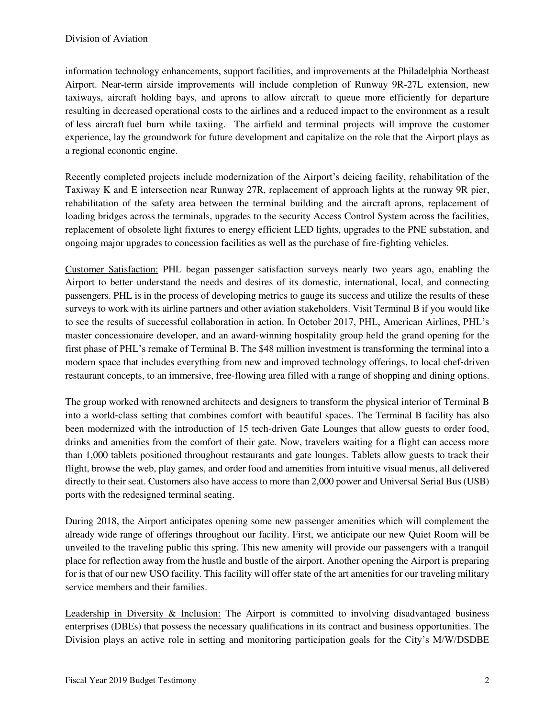information technology enhancements, support facilities, and improvements at the Philadelphia Northeast Airport. Near-term airside improvements will include completion of Runway 9R-27L extension, new taxiways, aircraft holding bays, and aprons to allow aircraft to queue more efficiently for departure resulting in decreased operational costs to the airlines and a reduced impact to the environment as a result of less aircraft fuel burn while taxiing. The airfield and terminal projects will improve the customer experience, lay the groundwork for future development and capitalize on the role that the Airport plays as a regional economic engine.

Recently completed projects include modernization of the Airport's deicing facility, rehabilitation of the Taxiway K and E intersection near Runway 27R, replacement of approach lights at the runway 9R pier, rehabilitation of the safety area between the terminal building and the aircraft aprons, replacement of loading bridges across the terminals, upgrades to the security Access Control System across the facilities, replacement of obsolete light fixtures to energy efficient LED lights, upgrades to the PNE substation, and ongoing major upgrades to concession facilities as well as the purchase of fire-fighting vehicles.

Customer Satisfaction: PHL began passenger satisfaction surveys nearly two years ago, enabling the Airport to better understand the needs and desires of its domestic, international, local, and connecting passengers. PHL is in the process of developing metrics to gauge its success and utilize the results of these surveys to work with its airline partners and other aviation stakeholders. Visit Terminal B if you would like to see the results of successful collaboration in action. In October 2017, PHL, American Airlines, PHL's master concessionaire developer, and an award‐winning hospitality group held the grand opening for the first phase of PHL's remake of Terminal B. The \$48 million investment is transforming the terminal into a modern space that includes everything from new and improved technology offerings, to local chef-driven restaurant concepts, to an immersive, free‐flowing area filled with a range of shopping and dining options.

The group worked with renowned architects and designers to transform the physical interior of Terminal B into a world‐class setting that combines comfort with beautiful spaces. The Terminal B facility has also been modernized with the introduction of 15 tech-driven Gate Lounges that allow guests to order food, drinks and amenities from the comfort of their gate. Now, travelers waiting for a flight can access more than 1,000 tablets positioned throughout restaurants and gate lounges. Tablets allow guests to track their flight, browse the web, play games, and order food and amenities from intuitive visual menus, all delivered directly to their seat. Customers also have access to more than 2,000 power and Universal Serial Bus (USB) ports with the redesigned terminal seating.

During 2018, the Airport anticipates opening some new passenger amenities which will complement the already wide range of offerings throughout our facility. First, we anticipate our new Quiet Room will be unveiled to the traveling public this spring. This new amenity will provide our passengers with a tranquil place for reflection away from the hustle and bustle of the airport. Another opening the Airport is preparing for is that of our new USO facility. This facility will offer state of the art amenities for our traveling military service members and their families.

Leadership in Diversity & Inclusion: The Airport is committed to involving disadvantaged business enterprises (DBEs) that possess the necessary qualifications in its contract and business opportunities. The Division plays an active role in setting and monitoring participation goals for the City's M/W/DSDBE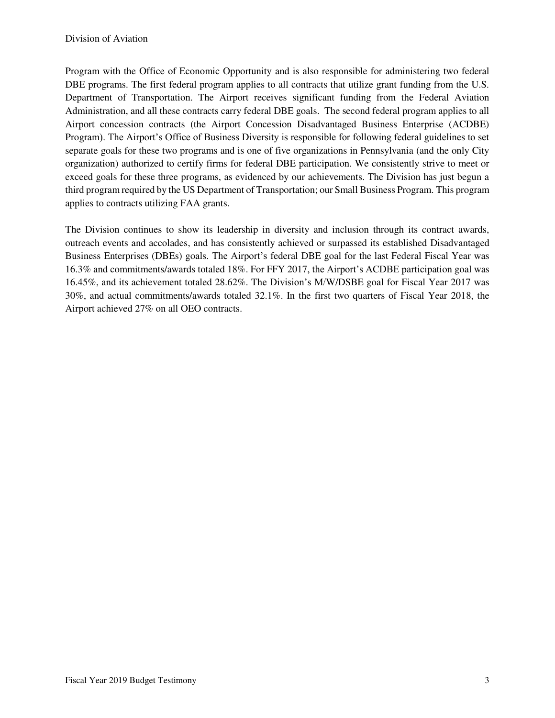Program with the Office of Economic Opportunity and is also responsible for administering two federal DBE programs. The first federal program applies to all contracts that utilize grant funding from the U.S. Department of Transportation. The Airport receives significant funding from the Federal Aviation Administration, and all these contracts carry federal DBE goals. The second federal program applies to all Airport concession contracts (the Airport Concession Disadvantaged Business Enterprise (ACDBE) Program). The Airport's Office of Business Diversity is responsible for following federal guidelines to set separate goals for these two programs and is one of five organizations in Pennsylvania (and the only City organization) authorized to certify firms for federal DBE participation. We consistently strive to meet or exceed goals for these three programs, as evidenced by our achievements. The Division has just begun a third program required by the US Department of Transportation; our Small Business Program. This program applies to contracts utilizing FAA grants.

The Division continues to show its leadership in diversity and inclusion through its contract awards, outreach events and accolades, and has consistently achieved or surpassed its established Disadvantaged Business Enterprises (DBEs) goals. The Airport's federal DBE goal for the last Federal Fiscal Year was 16.3% and commitments/awards totaled 18%. For FFY 2017, the Airport's ACDBE participation goal was 16.45%, and its achievement totaled 28.62%. The Division's M/W/DSBE goal for Fiscal Year 2017 was 30%, and actual commitments/awards totaled 32.1%. In the first two quarters of Fiscal Year 2018, the Airport achieved 27% on all OEO contracts.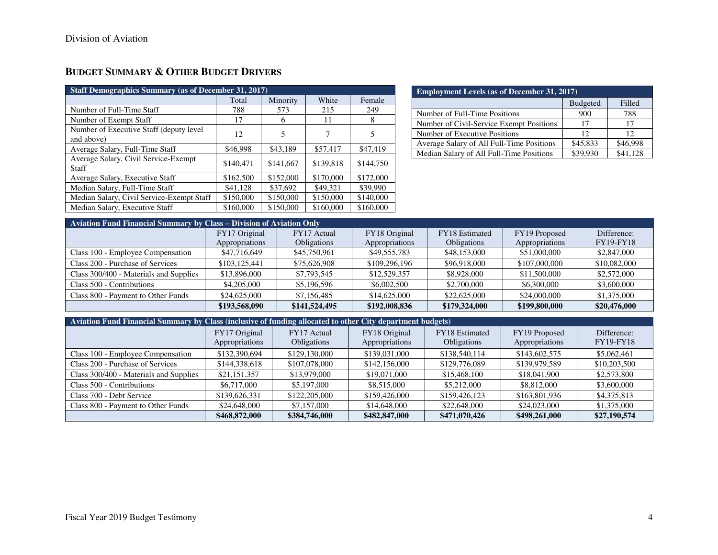# **BUDGET SUMMARY & OTHER BUDGET DRIVERS**

| <b>Staff Demographics Summary (as of December 31, 2017)</b> |           |           |           |           |
|-------------------------------------------------------------|-----------|-----------|-----------|-----------|
|                                                             | Total     | Minority  | White     | Female    |
| Number of Full-Time Staff                                   | 788       | 573       | 215       | 249       |
| Number of Exempt Staff                                      | 17        | h         | 11        | 8         |
| Number of Executive Staff (deputy level<br>and above)       | 12        | 5         | 7         | 5         |
| Average Salary, Full-Time Staff                             | \$46,998  | \$43,189  | \$57,417  | \$47,419  |
| Average Salary, Civil Service-Exempt<br>Staff               | \$140,471 | \$141,667 | \$139,818 | \$144,750 |
| Average Salary, Executive Staff                             | \$162,500 | \$152,000 | \$170,000 | \$172,000 |
| Median Salary, Full-Time Staff                              | \$41,128  | \$37,692  | \$49,321  | \$39,990  |
| Median Salary, Civil Service-Exempt Staff                   | \$150,000 | \$150,000 | \$150,000 | \$140,000 |
| Median Salary, Executive Staff                              | \$160,000 | \$150,000 | \$160,000 | \$160,000 |

| <b>Employment Levels (as of December 31, 2017)</b> |          |                 |  |  |  |  |  |
|----------------------------------------------------|----------|-----------------|--|--|--|--|--|
| <b>Budgeted</b><br>Filled                          |          |                 |  |  |  |  |  |
| Number of Full-Time Positions                      | 900      | 788             |  |  |  |  |  |
| Number of Civil-Service Exempt Positions           | 17       | 17              |  |  |  |  |  |
| Number of Executive Positions                      | 12       | 12 <sup>2</sup> |  |  |  |  |  |
| Average Salary of All Full-Time Positions          | \$45,833 | \$46,998        |  |  |  |  |  |
| Median Salary of All Full-Time Positions           | \$39,930 | \$41.128        |  |  |  |  |  |

| Aviation Fund Financial Summary by Class – Division of Aviation Only |                |                    |                |                    |                |                  |
|----------------------------------------------------------------------|----------------|--------------------|----------------|--------------------|----------------|------------------|
|                                                                      | FY17 Original  | FY17 Actual        | FY18 Original  | FY18 Estimated     | FY19 Proposed  | Difference:      |
|                                                                      | Appropriations | <b>Obligations</b> | Appropriations | <b>Obligations</b> | Appropriations | <b>FY19-FY18</b> |
| Class 100 - Employee Compensation                                    | \$47,716,649   | \$45,750,961       | \$49,555,783   | \$48,153,000       | \$51,000,000   | \$2,847,000      |
| Class 200 - Purchase of Services                                     | \$103,125,441  | \$75,626,908       | \$109,296,196  | \$96,918,000       | \$107,000,000  | \$10,082,000     |
| Class 300/400 - Materials and Supplies                               | \$13,896,000   | \$7,793,545        | \$12,529,357   | \$8,928,000        | \$11,500,000   | \$2,572,000      |
| Class 500 - Contributions                                            | \$4,205,000    | \$5,196,596        | \$6,002,500    | \$2,700,000        | \$6,300,000    | \$3,600,000      |
| Class 800 - Payment to Other Funds                                   | \$24,625,000   | \$7,156,485        | \$14,625,000   | \$22,625,000       | \$24,000,000   | \$1,375,000      |
|                                                                      | \$193,568,090  | \$141,524,495      | \$192,008,836  | \$179,324,000      | \$199,800,000  | \$20,476,000     |

| Aviation Fund Financial Summary by Class (inclusive of funding allocated to other City department budgets) |                |                    |                |                    |                |              |  |  |  |  |  |
|------------------------------------------------------------------------------------------------------------|----------------|--------------------|----------------|--------------------|----------------|--------------|--|--|--|--|--|
|                                                                                                            | FY17 Original  | FY17 Actual        | FY18 Original  | FY18 Estimated     | FY19 Proposed  | Difference:  |  |  |  |  |  |
|                                                                                                            | Appropriations | <b>Obligations</b> | Appropriations | <b>Obligations</b> | Appropriations | FY19-FY18    |  |  |  |  |  |
| Class 100 - Employee Compensation                                                                          | \$132,390,694  | \$129,130,000      | \$139,031,000  | \$138,540,114      | \$143,602,575  | \$5,062,461  |  |  |  |  |  |
| Class 200 - Purchase of Services                                                                           | \$144,338,618  | \$107,078,000      | \$142,156,000  | \$129,776,089      | \$139,979,589  | \$10,203,500 |  |  |  |  |  |
| Class 300/400 - Materials and Supplies                                                                     | \$21,151,357   | \$13,979,000       | \$19,071,000   | \$15,468,100       | \$18,041,900   | \$2,573,800  |  |  |  |  |  |
| Class 500 - Contributions                                                                                  | \$6,717,000    | \$5,197,000        | \$8,515,000    | \$5,212,000        | \$8,812,000    | \$3,600,000  |  |  |  |  |  |
| Class 700 - Debt Service                                                                                   | \$139,626,331  | \$122,205,000      | \$159,426,000  | \$159,426,123      | \$163,801,936  | \$4,375,813  |  |  |  |  |  |
| Class 800 - Payment to Other Funds                                                                         | \$24,648,000   | \$7,157,000        | \$14,648,000   | \$22,648,000       | \$24,023,000   | \$1,375,000  |  |  |  |  |  |
|                                                                                                            | \$468,872,000  | \$384,746,000      | \$482,847,000  | \$471,070,426      | \$498,261,000  | \$27,190,574 |  |  |  |  |  |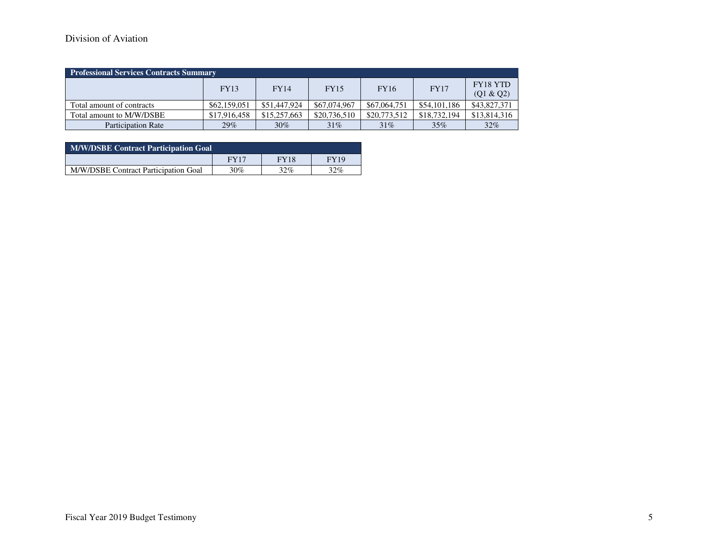## Division of Aviation

| <b>Professional Services Contracts Summary</b> |              |              |              |              |              |                       |  |  |  |
|------------------------------------------------|--------------|--------------|--------------|--------------|--------------|-----------------------|--|--|--|
|                                                | <b>FY13</b>  | <b>FY14</b>  | <b>FY15</b>  | <b>FY16</b>  | <b>FY17</b>  | FY18 YTD<br>(Q1 & Q2) |  |  |  |
| Total amount of contracts                      | \$62,159,051 | \$51,447,924 | \$67,074,967 | \$67,064,751 | \$54,101,186 | \$43,827,371          |  |  |  |
| Total amount to M/W/DSBE                       | \$17,916,458 | \$15,257,663 | \$20,736,510 | \$20,773,512 | \$18,732,194 | \$13,814,316          |  |  |  |
| <b>Participation Rate</b>                      | $29\%$       | $30\%$       | 31%          | $31\%$       | 35%          | 32%                   |  |  |  |

| <b>M/W/DSBE Contract Participation Goal</b> |             |             |        |  |  |  |  |
|---------------------------------------------|-------------|-------------|--------|--|--|--|--|
|                                             | <b>FY17</b> | <b>FY18</b> | FY19   |  |  |  |  |
| M/W/DSBE Contract Participation Goal        | 30%         | $32\%$      | $32\%$ |  |  |  |  |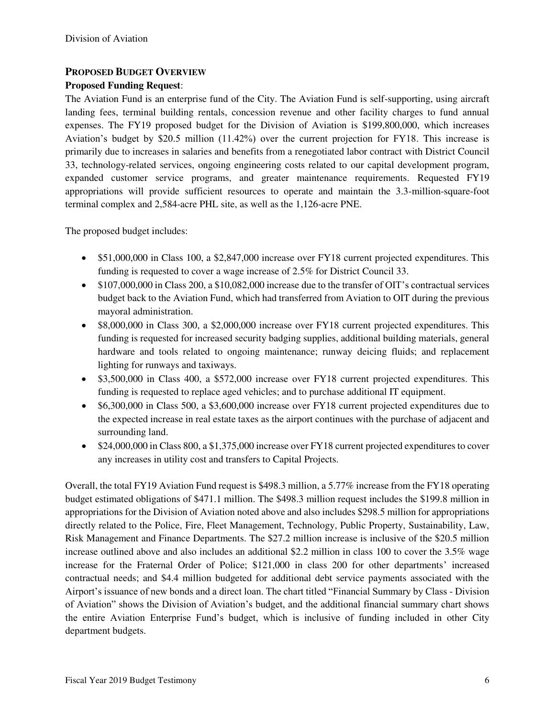### **PROPOSED BUDGET OVERVIEW**

#### **Proposed Funding Request**:

The Aviation Fund is an enterprise fund of the City. The Aviation Fund is self-supporting, using aircraft landing fees, terminal building rentals, concession revenue and other facility charges to fund annual expenses. The FY19 proposed budget for the Division of Aviation is \$199,800,000, which increases Aviation's budget by \$20.5 million (11.42%) over the current projection for FY18. This increase is primarily due to increases in salaries and benefits from a renegotiated labor contract with District Council 33, technology-related services, ongoing engineering costs related to our capital development program, expanded customer service programs, and greater maintenance requirements. Requested FY19 appropriations will provide sufficient resources to operate and maintain the 3.3-million-square-foot terminal complex and 2,584-acre PHL site, as well as the 1,126-acre PNE.

The proposed budget includes:

- \$51,000,000 in Class 100, a \$2,847,000 increase over FY18 current projected expenditures. This funding is requested to cover a wage increase of 2.5% for District Council 33.
- \$107,000,000 in Class 200, a \$10,082,000 increase due to the transfer of OIT's contractual services budget back to the Aviation Fund, which had transferred from Aviation to OIT during the previous mayoral administration.
- \$8,000,000 in Class 300, a \$2,000,000 increase over FY18 current projected expenditures. This funding is requested for increased security badging supplies, additional building materials, general hardware and tools related to ongoing maintenance; runway deicing fluids; and replacement lighting for runways and taxiways.
- \$3,500,000 in Class 400, a \$572,000 increase over FY18 current projected expenditures. This funding is requested to replace aged vehicles; and to purchase additional IT equipment.
- \$6,300,000 in Class 500, a \$3,600,000 increase over FY18 current projected expenditures due to the expected increase in real estate taxes as the airport continues with the purchase of adjacent and surrounding land.
- \$24,000,000 in Class 800, a \$1,375,000 increase over FY18 current projected expenditures to cover any increases in utility cost and transfers to Capital Projects.

Overall, the total FY19 Aviation Fund request is \$498.3 million, a 5.77% increase from the FY18 operating budget estimated obligations of \$471.1 million. The \$498.3 million request includes the \$199.8 million in appropriations for the Division of Aviation noted above and also includes \$298.5 million for appropriations directly related to the Police, Fire, Fleet Management, Technology, Public Property, Sustainability, Law, Risk Management and Finance Departments. The \$27.2 million increase is inclusive of the \$20.5 million increase outlined above and also includes an additional \$2.2 million in class 100 to cover the 3.5% wage increase for the Fraternal Order of Police; \$121,000 in class 200 for other departments' increased contractual needs; and \$4.4 million budgeted for additional debt service payments associated with the Airport's issuance of new bonds and a direct loan. The chart titled "Financial Summary by Class - Division of Aviation" shows the Division of Aviation's budget, and the additional financial summary chart shows the entire Aviation Enterprise Fund's budget, which is inclusive of funding included in other City department budgets.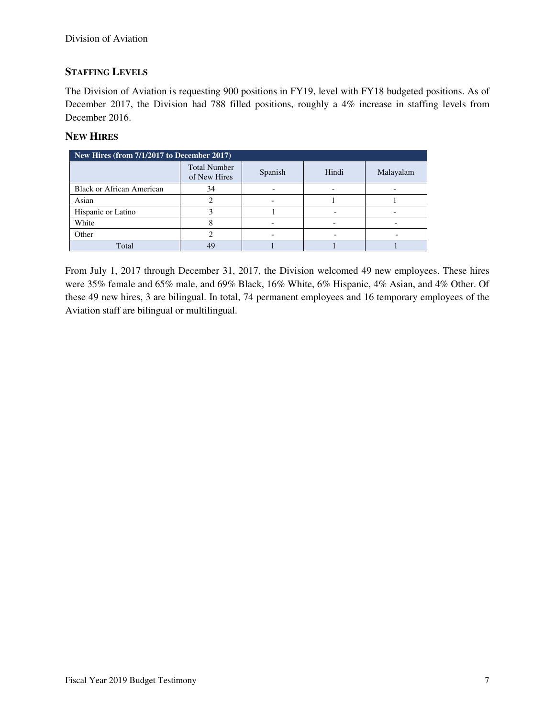### **STAFFING LEVELS**

The Division of Aviation is requesting 900 positions in FY19, level with FY18 budgeted positions. As of December 2017, the Division had 788 filled positions, roughly a 4% increase in staffing levels from December 2016.

### **NEW HIRES**

| New Hires (from 7/1/2017 to December 2017) |                                     |         |       |           |  |  |  |  |
|--------------------------------------------|-------------------------------------|---------|-------|-----------|--|--|--|--|
|                                            | <b>Total Number</b><br>of New Hires | Spanish | Hindi | Malayalam |  |  |  |  |
| <b>Black or African American</b>           | 34                                  |         |       |           |  |  |  |  |
| Asian                                      |                                     |         |       |           |  |  |  |  |
| Hispanic or Latino                         |                                     |         |       |           |  |  |  |  |
| White                                      |                                     |         |       |           |  |  |  |  |
| Other                                      |                                     |         |       |           |  |  |  |  |
| Total                                      | 49                                  |         |       |           |  |  |  |  |

From July 1, 2017 through December 31, 2017, the Division welcomed 49 new employees. These hires were 35% female and 65% male, and 69% Black, 16% White, 6% Hispanic, 4% Asian, and 4% Other. Of these 49 new hires, 3 are bilingual. In total, 74 permanent employees and 16 temporary employees of the Aviation staff are bilingual or multilingual.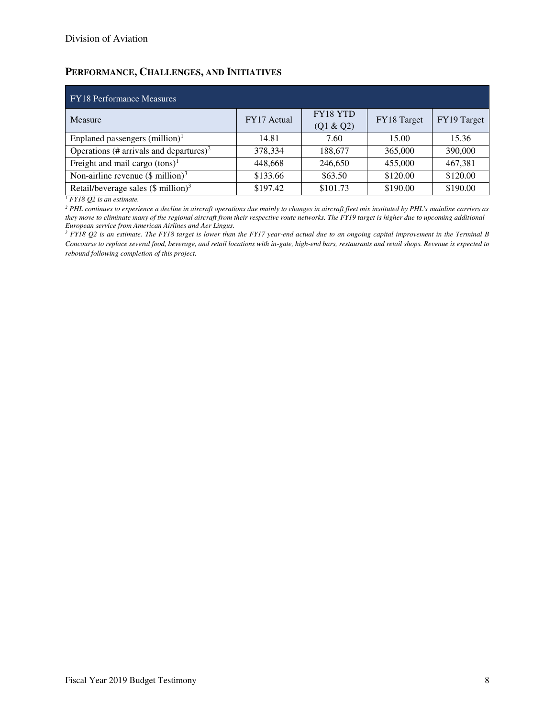## **PERFORMANCE, CHALLENGES, AND INITIATIVES**

| <b>FY18</b> Performance Measures                    |             |                       |             |             |  |  |  |  |  |
|-----------------------------------------------------|-------------|-----------------------|-------------|-------------|--|--|--|--|--|
| Measure                                             | FY17 Actual | FY18 YTD<br>(Q1 & Q2) | FY18 Target | FY19 Target |  |  |  |  |  |
| Enplaned passengers $(million)^1$                   | 14.81       | 7.60                  | 15.00       | 15.36       |  |  |  |  |  |
| Operations (# arrivals and departures) <sup>2</sup> | 378,334     | 188,677               | 365,000     | 390,000     |  |  |  |  |  |
| Freight and mail cargo $(tons)^1$                   | 448,668     | 246,650               | 455,000     | 467,381     |  |  |  |  |  |
| Non-airline revenue $(\$$ million) <sup>3</sup>     | \$133.66    | \$63.50               | \$120.00    | \$120.00    |  |  |  |  |  |
| Retail/beverage sales $(\$$ million) <sup>3</sup>   | \$197.42    | \$101.73              | \$190.00    | \$190.00    |  |  |  |  |  |

*1 FY18 Q2 is an estimate.* 

*2 PHL continues to experience a decline in aircraft operations due mainly to changes in aircraft fleet mix instituted by PHL's mainline carriers as they move to eliminate many of the regional aircraft from their respective route networks. The FY19 target is higher due to upcoming additional* 

European service from American Airlines and Aer Lingus.<br><sup>3</sup> FY18 Q2 is an estimate. The FY18 target is lower than the FY17 year-end actual due to an ongoing capital improvement in the Terminal B *Concourse to replace several food, beverage, and retail locations with in-gate, high-end bars, restaurants and retail shops. Revenue is expected to rebound following completion of this project.*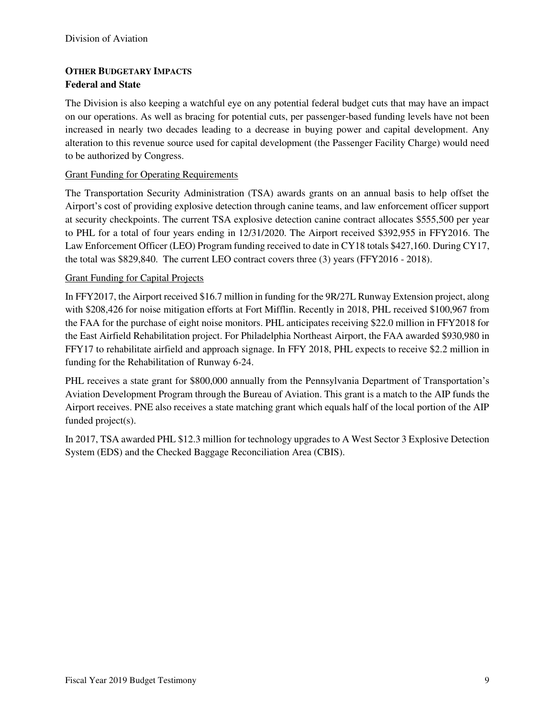### **OTHER BUDGETARY IMPACTS Federal and State**

The Division is also keeping a watchful eye on any potential federal budget cuts that may have an impact on our operations. As well as bracing for potential cuts, per passenger-based funding levels have not been increased in nearly two decades leading to a decrease in buying power and capital development. Any alteration to this revenue source used for capital development (the Passenger Facility Charge) would need to be authorized by Congress.

#### Grant Funding for Operating Requirements

The Transportation Security Administration (TSA) awards grants on an annual basis to help offset the Airport's cost of providing explosive detection through canine teams, and law enforcement officer support at security checkpoints. The current TSA explosive detection canine contract allocates \$555,500 per year to PHL for a total of four years ending in 12/31/2020. The Airport received \$392,955 in FFY2016. The Law Enforcement Officer (LEO) Program funding received to date in CY18 totals \$427,160. During CY17, the total was \$829,840. The current LEO contract covers three (3) years (FFY2016 - 2018).

#### Grant Funding for Capital Projects

In FFY2017, the Airport received \$16.7 million in funding for the 9R/27L Runway Extension project, along with \$208,426 for noise mitigation efforts at Fort Mifflin. Recently in 2018, PHL received \$100,967 from the FAA for the purchase of eight noise monitors. PHL anticipates receiving \$22.0 million in FFY2018 for the East Airfield Rehabilitation project. For Philadelphia Northeast Airport, the FAA awarded \$930,980 in FFY17 to rehabilitate airfield and approach signage. In FFY 2018, PHL expects to receive \$2.2 million in funding for the Rehabilitation of Runway 6-24.

PHL receives a state grant for \$800,000 annually from the Pennsylvania Department of Transportation's Aviation Development Program through the Bureau of Aviation. This grant is a match to the AIP funds the Airport receives. PNE also receives a state matching grant which equals half of the local portion of the AIP funded project(s).

In 2017, TSA awarded PHL \$12.3 million for technology upgrades to A West Sector 3 Explosive Detection System (EDS) and the Checked Baggage Reconciliation Area (CBIS).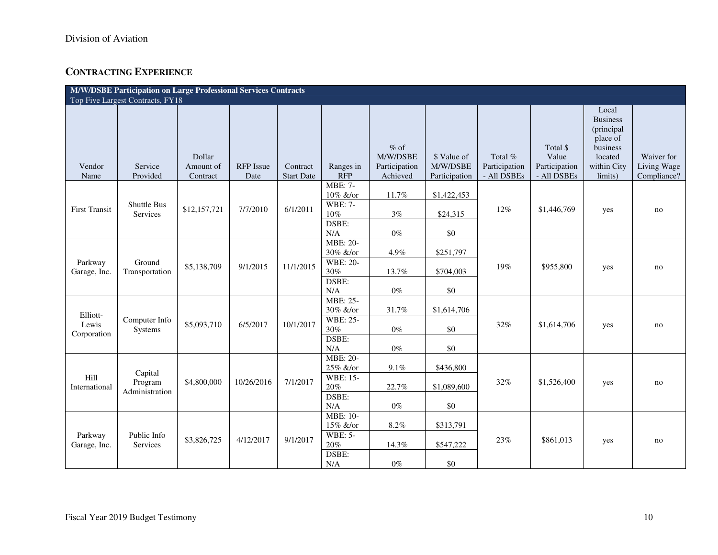# **CONTRACTING EXPERIENCE**

| M/W/DSBE Participation on Large Professional Services Contracts |                                  |                                 |                          |                               |                             |                                                 |                                          |                                         |                                                   |                                                                                                     |                                          |
|-----------------------------------------------------------------|----------------------------------|---------------------------------|--------------------------|-------------------------------|-----------------------------|-------------------------------------------------|------------------------------------------|-----------------------------------------|---------------------------------------------------|-----------------------------------------------------------------------------------------------------|------------------------------------------|
|                                                                 | Top Five Largest Contracts, FY18 |                                 |                          |                               |                             |                                                 |                                          |                                         |                                                   |                                                                                                     |                                          |
| Vendor<br>Name                                                  | Service<br>Provided              | Dollar<br>Amount of<br>Contract | <b>RFP</b> Issue<br>Date | Contract<br><b>Start Date</b> | Ranges in<br><b>RFP</b>     | $%$ of<br>M/W/DSBE<br>Participation<br>Achieved | \$ Value of<br>M/W/DSBE<br>Participation | Total %<br>Participation<br>- All DSBEs | Total \$<br>Value<br>Participation<br>- All DSBEs | Local<br><b>Business</b><br>(principal<br>place of<br>business<br>located<br>within City<br>limits) | Waiver for<br>Living Wage<br>Compliance? |
|                                                                 |                                  |                                 |                          |                               | <b>MBE: 7-</b><br>10% &/or  | 11.7%                                           | \$1,422,453                              |                                         | \$1,446,769                                       | yes                                                                                                 |                                          |
| <b>First Transit</b>                                            | <b>Shuttle Bus</b><br>Services   | \$12,157,721                    | 7/7/2010                 | 6/1/2011                      | <b>WBE: 7-</b><br>10%       | 3%                                              | \$24,315                                 | $12\%$                                  |                                                   |                                                                                                     | no                                       |
|                                                                 |                                  |                                 |                          |                               | DSBE:<br>N/A                | $0\%$                                           | \$0                                      |                                         |                                                   |                                                                                                     |                                          |
|                                                                 |                                  |                                 |                          |                               | <b>MBE: 20-</b><br>30% &/or | 4.9%                                            | \$251,797                                |                                         | \$955,800                                         | yes                                                                                                 | no                                       |
| Parkway<br>Garage, Inc.                                         | Ground<br>Transportation         | \$5,138,709                     | 9/1/2015                 | 11/1/2015                     | <b>WBE: 20-</b><br>30%      | 13.7%                                           | \$704,003                                | 19%                                     |                                                   |                                                                                                     |                                          |
|                                                                 |                                  |                                 |                          |                               | DSBE:<br>N/A                | $0\%$                                           | \$0                                      |                                         |                                                   |                                                                                                     |                                          |
| Elliott-                                                        |                                  |                                 |                          |                               | MBE: 25-<br>30% &/or        | 31.7%                                           | \$1,614,706                              |                                         |                                                   |                                                                                                     |                                          |
| Lewis<br>Corporation                                            | Computer Info<br>Systems         | \$5,093,710                     | 6/5/2017                 | 10/1/2017                     | <b>WBE: 25-</b><br>30%      | $0\%$                                           | \$0                                      | 32%                                     | \$1,614,706                                       | yes                                                                                                 | no                                       |
|                                                                 |                                  |                                 |                          |                               | DSBE:<br>N/A                | $0\%$                                           | \$0                                      |                                         |                                                   |                                                                                                     |                                          |
|                                                                 | Capital                          |                                 |                          |                               | <b>MBE: 20-</b><br>25% &/or | 9.1%                                            | \$436,800                                |                                         |                                                   |                                                                                                     |                                          |
| Hill<br>International                                           | Program<br>Administration        | \$4,800,000                     | 10/26/2016               | 7/1/2017                      | WBE: 15-<br>$20\%$          | 22.7%                                           | \$1,089,600                              | 32%                                     | \$1,526,400                                       | yes                                                                                                 | no                                       |
|                                                                 |                                  |                                 |                          |                               | DSBE:<br>N/A                | $0\%$                                           | \$0                                      |                                         |                                                   |                                                                                                     |                                          |
|                                                                 |                                  |                                 |                          |                               | <b>MBE: 10-</b><br>15% &/or | 8.2%                                            | \$313,791                                |                                         |                                                   |                                                                                                     | no                                       |
| Parkway                                                         | Public Info<br>Services          | \$3,826,725                     | 4/12/2017                | 9/1/2017                      | <b>WBE: 5-</b>              |                                                 |                                          | 23%                                     | \$861,013                                         | yes                                                                                                 |                                          |
| Garage, Inc.                                                    |                                  |                                 |                          |                               | $20\%$<br>DSBE:             | 14.3%                                           | \$547,222                                |                                         |                                                   |                                                                                                     |                                          |
|                                                                 |                                  |                                 |                          |                               | N/A                         | $0\%$                                           | \$0                                      |                                         |                                                   |                                                                                                     |                                          |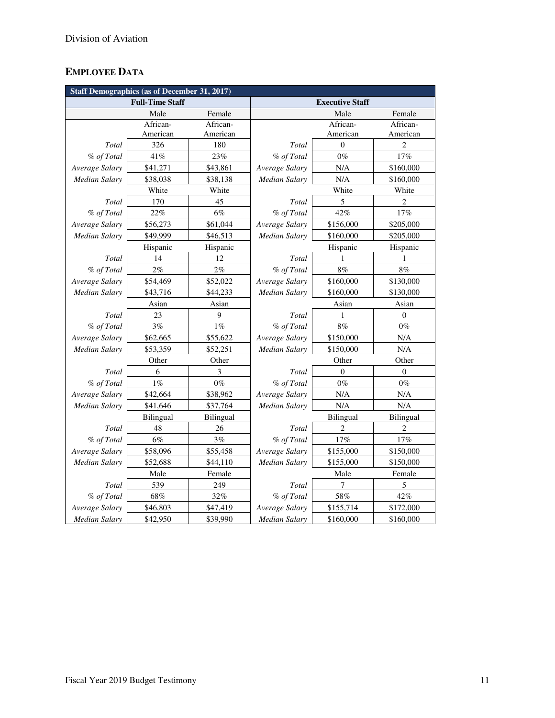# **EMPLOYEE DATA**

| <b>Staff Demographics (as of December 31, 2017)</b> |                        |           |                      |                        |                |  |  |  |
|-----------------------------------------------------|------------------------|-----------|----------------------|------------------------|----------------|--|--|--|
|                                                     | <b>Full-Time Staff</b> |           |                      | <b>Executive Staff</b> |                |  |  |  |
|                                                     | Male                   | Female    |                      | Male                   | Female         |  |  |  |
|                                                     | African-               | African-  |                      | African-               | African-       |  |  |  |
|                                                     | American               | American  |                      | American               | American       |  |  |  |
| Total                                               | 326                    | 180       | Total                | $\theta$               | $\overline{c}$ |  |  |  |
| % of Total                                          | 41%                    | 23%       | % of Total           | $0\%$                  | 17%            |  |  |  |
| Average Salary                                      | \$41,271               | \$43,861  | Average Salary       | N/A                    | \$160,000      |  |  |  |
| <b>Median Salary</b>                                | \$38,038               | \$38,138  | Median Salary        | N/A                    | \$160,000      |  |  |  |
|                                                     | White                  | White     |                      | White                  | White          |  |  |  |
| Total                                               | 170                    | 45        | Total                | 5                      | $\overline{c}$ |  |  |  |
| % of Total                                          | 22%                    | 6%        | % of Total           | 42%                    | 17%            |  |  |  |
| Average Salary                                      | \$56,273               | \$61,044  | Average Salary       | \$156,000              | \$205,000      |  |  |  |
| Median Salary                                       | \$49,999               | \$46,513  | Median Salary        | \$160,000              | \$205,000      |  |  |  |
|                                                     | Hispanic               | Hispanic  |                      | Hispanic               | Hispanic       |  |  |  |
| Total                                               | 14                     | 12        | Total                | 1                      | 1              |  |  |  |
| % of Total                                          | 2%                     | 2%        | % of Total           | $8\%$                  | $8\%$          |  |  |  |
| Average Salary                                      | \$54,469               | \$52,022  | Average Salary       | \$160,000              | \$130,000      |  |  |  |
| <b>Median Salary</b>                                | \$43,716               | \$44,233  | Median Salary        | \$160,000              | \$130,000      |  |  |  |
|                                                     | Asian                  | Asian     | Asian                |                        | Asian          |  |  |  |
| Total                                               | 23                     | 9         | Total                | 1                      | $\overline{0}$ |  |  |  |
| % of Total                                          | 3%                     | $1\%$     | % of Total           | 8%                     | $0\%$          |  |  |  |
| Average Salary                                      | \$62,665               | \$55,622  | Average Salary       | \$150,000              | N/A            |  |  |  |
| Median Salary                                       | \$53,359               | \$52,251  | Median Salary        | \$150,000              | N/A            |  |  |  |
|                                                     | Other                  | Other     | Other<br>Other       |                        |                |  |  |  |
| Total                                               | 6                      | 3         | Total                | $\theta$               | $\overline{0}$ |  |  |  |
| % of Total                                          | 1%                     | $0\%$     | % of Total           | $0\%$                  | $0\%$          |  |  |  |
| Average Salary                                      | \$42,664               | \$38,962  | Average Salary       | N/A                    | N/A            |  |  |  |
| Median Salary                                       | \$41,646               | \$37,764  | <b>Median Salary</b> | N/A                    | N/A            |  |  |  |
|                                                     | Bilingual              | Bilingual |                      | Bilingual              | Bilingual      |  |  |  |
| Total                                               | 48                     | 26        | Total                | $\overline{c}$         | $\overline{c}$ |  |  |  |
| % of Total                                          | 6%                     | 3%        | % of Total           | 17%                    | $17\%$         |  |  |  |
| Average Salary                                      | \$58,096               | \$55,458  | Average Salary       | \$155,000              | \$150,000      |  |  |  |
| <b>Median Salary</b>                                | \$52,688               | \$44,110  | Median Salary        | \$155,000              | \$150,000      |  |  |  |
|                                                     | Male                   | Female    |                      | Female                 |                |  |  |  |
| Total                                               | 539                    | 249       | Total                | 7                      | 5              |  |  |  |
| % of Total                                          | $68\%$                 | 32%       | % of Total           | $58\%$                 | 42%            |  |  |  |
| Average Salary                                      | \$46,803               | \$47,419  | Average Salary       | \$155,714              | \$172,000      |  |  |  |
| <b>Median Salary</b>                                | \$42,950               | \$39,990  | <b>Median Salary</b> | \$160,000              | \$160,000      |  |  |  |